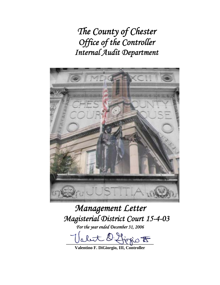*The County of Chester Office of the Controller Internal Audit Department* 



# *Management Letter Magisterial District Court 15-4-03*

*For the year ended December 31, 2006* 

abut D. Livrio F

**Valentino F. DiGiorgio, III, Controller**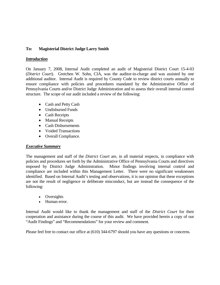# **To: Magisterial District Judge Larry Smith**

# *Introduction*

On January 7, 2008, Internal Audit completed an audit of Magisterial District Court 15-4-03 (*District Court*). Gretchen W. Sohn, CIA, was the auditor-in-charge and was assisted by one additional auditor. Internal Audit is required by County Code to review district courts annually to ensure compliance with policies and procedures mandated by the Administrative Office of Pennsylvania Courts and/or District Judge Administration and to assess their overall internal control structure. The scope of our audit included a review of the following:

- Cash and Petty Cash
- Undisbursed Funds
- Cash Receipts
- Manual Receipts
- Cash Disbursements
- Voided Transactions
- Overall Compliance.

# *Executive Summary*

The management and staff of the *District Court* are, in all material respects, in compliance with policies and procedures set forth by the Administrative Office of Pennsylvania Courts and directives imposed by District Judge Administration. Minor findings involving internal control and compliance are included within this Management Letter. There were no significant weaknesses identified. Based on Internal Audit's testing and observations, it is our opinion that these exceptions are not the result of negligence or deliberate misconduct, but are instead the consequence of the following:

- Oversights
- Human error.

Internal Audit would like to thank the management and staff of the *District Court* for their cooperation and assistance during the course of this audit. We have provided herein a copy of our "Audit Findings" and "Recommendations" for your review and comment.

Please feel free to contact our office at (610) 344-6797 should you have any questions or concerns.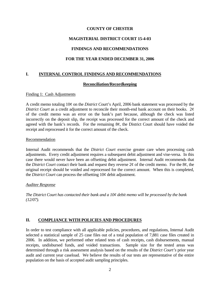# **MAGISTERIAL DISTRICT COURT 15-4-03**

# **FINDINGS AND RECOMMENDATIONS**

# **FOR THE YEAR ENDED DECEMBER 31, 2006**

# **I. INTERNAL CONTROL FINDINGS AND RECOMMENDATIONS**

#### **Reconciliation/Recordkeeping**

#### Finding 1: Cash Adjustments

A credit memo totaling 10¢ on the *District Cou*rt's April, 2006 bank statement was processed by the *District Court* as a credit adjustment to reconcile their month-end bank account on their books. 2¢ of the credit memo was an error on the bank's part because, although the check was listed incorrectly on the deposit slip, the receipt was processed for the correct amount of the check and agreed with the bank's records. For the remaining 8¢, the District Court should have voided the receipt and reprocessed it for the correct amount of the check.

#### Recommendation

Internal Audit recommends that the *District Court* exercise greater care when processing cash adjustments. Every credit adjustment requires a subsequent debit adjustment and vise-versa. In this case there would never have been an offsetting debit adjustment. Internal Audit recommends that the *District Court* contact their bank and request they reverse 2¢ of the credit memo. For the 8¢, the original receipt should be voided and reprocessed for the correct amount. When this is completed, the *District Court* can process the offsetting 10¢ debit adjustment.

#### *Auditee Response*

*The District Court has contacted their bank and a 10¢ debit memo will be processed by the bank (12/07).* 

# **II. COMPLIANCE WITH POLICIES AND PROCEDURES**

In order to test compliance with all applicable policies, procedures, and regulations, Internal Audit selected a statistical sample of 25 case files out of a total population of 7,881 case files created in 2006. In addition, we performed other related tests of cash receipts, cash disbursements, manual receipts, undisbursed funds, and voided transactions. Sample size for the tested areas was determined through a risk assessment analysis based on the results of the *District Court's* prior year audit and current year caseload. We believe the results of our tests are representative of the entire population on the basis of accepted audit sampling principles.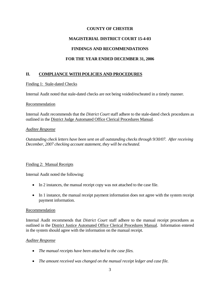# **MAGISTERIAL DISTRICT COURT 15-4-03**

# **FINDINGS AND RECOMMENDATIONS**

# **FOR THE YEAR ENDED DECEMBER 31, 2006**

# **II. COMPLIANCE WITH POLICIES AND PROCEDURES**

#### Finding 1: Stale-dated Checks

Internal Audit noted that stale-dated checks are not being voided/escheated in a timely manner.

#### Recommendation

Internal Audit recommends that the *District Court* staff adhere to the stale-dated check procedures as outlined in the District Judge Automated Office Clerical Procedures Manual.

#### *Auditee Response*

*Outstanding check letters have been sent on all outstanding checks through 9/30/07. After receiving December, 2007 checking account statement, they will be escheated.* 

#### Finding 2: Manual Receipts

Internal Audit noted the following:

- In 2 instances, the manual receipt copy was not attached to the case file.
- In 1 instance, the manual receipt payment information does not agree with the system receipt payment information.

#### Recommendation

Internal Audit recommends that *District Court* staff adhere to the manual receipt procedures as outlined in the District Justice Automated Office Clerical Procedures Manual. Information entered in the system should agree with the information on the manual receipt.

#### *Auditee Response*

- *The manual receipts have been attached to the case files.*
- *The amount received was changed on the manual receipt ledger and case file.*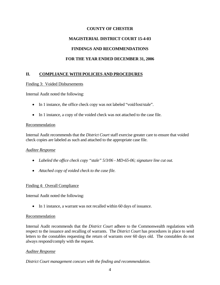# **MAGISTERIAL DISTRICT COURT 15-4-03**

# **FINDINGS AND RECOMMENDATIONS**

# **FOR THE YEAR ENDED DECEMBER 31, 2006**

# **II. COMPLIANCE WITH POLICIES AND PROCEDURES**

#### Finding 3: Voided Disbursements

Internal Audit noted the following:

- In 1 instance, the office check copy was not labeled "void/lost/stale".
- In 1 instance, a copy of the voided check was not attached to the case file.

#### Recommendation

Internal Audit recommends that the *District Court* staff exercise greater care to ensure that voided check copies are labeled as such and attached to the appropriate case file.

#### *Auditee Response*

- *Labeled the office check copy "stale" 5/3/06 MD-65-06; signature line cut out.*
- *Attached copy of voided check to the case file.*

#### Finding 4: Overall Compliance

Internal Audit noted the following:

• In 1 instance, a warrant was not recalled within 60 days of issuance.

#### Recommendation

Internal Audit recommends that the *District Court* adhere to the Commonwealth regulations with respect to the issuance and recalling of warrants. The *District Court* has procedures in place to send letters to the constables requesting the return of warrants over 60 days old. The constables do not always respond/comply with the request.

#### *Auditee Response*

*District Court management concurs with the finding and recommendation.*